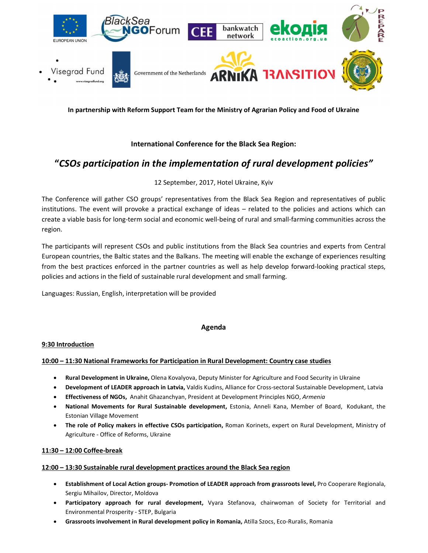

In partnership with Reform Support Team for the Ministry of Agrarian Policy and Food of Ukraine

## International Conference for the Black Sea Region:

# "CSOs participation in the implementation of rural development policies"

## 12 September, 2017, Hotel Ukraine, Kyiv

The Conference will gather CSO groups' representatives from the Black Sea Region and representatives of public institutions. The event will provoke a practical exchange of ideas – related to the policies and actions which can create a viable basis for long-term social and economic well-being of rural and small-farming communities across the region.

The participants will represent CSOs and public institutions from the Black Sea countries and experts from Central European countries, the Baltic states and the Balkans. The meeting will enable the exchange of experiences resulting from the best practices enforced in the partner countries as well as help develop forward-looking practical steps, policies and actions in the field of sustainable rural development and small farming.

Languages: Russian, English, interpretation will be provided

## Agenda

#### 9:30 Introduction

## 10:00 – 11:30 National Frameworks for Participation in Rural Development: Country case studies

- Rural Development in Ukraine, Olena Kovalyova, Deputy Minister for Agriculture and Food Security in Ukraine
- Development of LEADER approach in Latvia, Valdis Kudins, Alliance for Cross-sectoral Sustainable Development, Latvia
- **Effectiveness of NGOs,** Anahit Ghazanchyan, President at Development Principles NGO, Armenia
- National Movements for Rural Sustainable development, Estonia, Anneli Kana, Member of Board, Kodukant, the Estonian Village Movement
- The role of Policy makers in effective CSOs participation, Roman Korinets, expert on Rural Development, Ministry of Agriculture - Office of Reforms, Ukraine

#### 11:30 – 12:00 Coffee-break

#### 12:00 – 13:30 Sustainable rural development practices around the Black Sea region

- Establishment of Local Action groups- Promotion of LEADER approach from grassroots level, Pro Cooperare Regionala, Sergiu Mihailov, Director, Moldova
- Participatory approach for rural development, Vyara Stefanova, chairwoman of Society for Territorial and Environmental Prosperity - STEP, Bulgaria
- Grassroots involvement in Rural development policy in Romania, Atilla Szocs, Eco-Ruralis, Romania